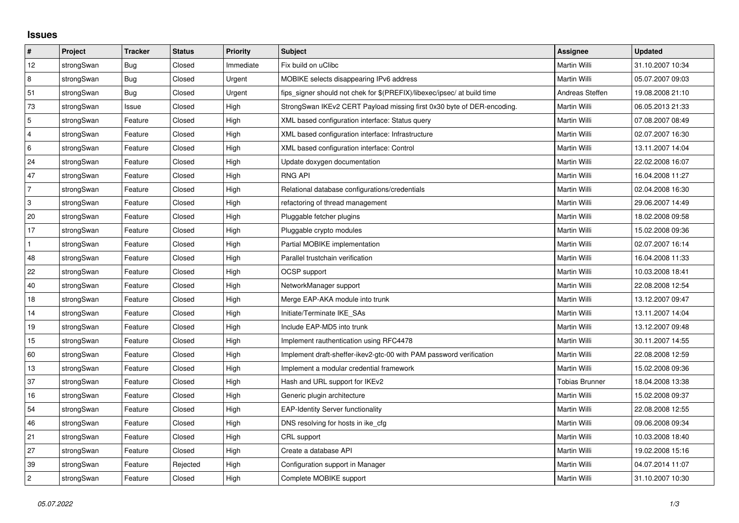## **Issues**

| $\vert$ #      | Project    | <b>Tracker</b> | <b>Status</b> | <b>Priority</b> | <b>Subject</b>                                                          | Assignee              | <b>Updated</b>   |
|----------------|------------|----------------|---------------|-----------------|-------------------------------------------------------------------------|-----------------------|------------------|
| 12             | strongSwan | Bug            | Closed        | Immediate       | Fix build on uClibc                                                     | Martin Willi          | 31.10.2007 10:34 |
| 8              | strongSwan | Bug            | Closed        | Urgent          | MOBIKE selects disappearing IPv6 address                                | Martin Willi          | 05.07.2007 09:03 |
| 51             | strongSwan | Bug            | Closed        | Urgent          | fips signer should not chek for \$(PREFIX)/libexec/ipsec/ at build time | Andreas Steffen       | 19.08.2008 21:10 |
| 73             | strongSwan | Issue          | Closed        | High            | StrongSwan IKEv2 CERT Payload missing first 0x30 byte of DER-encoding.  | Martin Willi          | 06.05.2013 21:33 |
| $\overline{5}$ | strongSwan | Feature        | Closed        | High            | XML based configuration interface: Status query                         | Martin Willi          | 07.08.2007 08:49 |
| 4              | strongSwan | Feature        | Closed        | High            | XML based configuration interface: Infrastructure                       | Martin Willi          | 02.07.2007 16:30 |
| 6              | strongSwan | Feature        | Closed        | High            | XML based configuration interface: Control                              | Martin Willi          | 13.11.2007 14:04 |
| 24             | strongSwan | Feature        | Closed        | High            | Update doxygen documentation                                            | Martin Willi          | 22.02.2008 16:07 |
| 47             | strongSwan | Feature        | Closed        | High            | <b>RNG API</b>                                                          | Martin Willi          | 16.04.2008 11:27 |
| $\overline{7}$ | strongSwan | Feature        | Closed        | High            | Relational database configurations/credentials                          | Martin Willi          | 02.04.2008 16:30 |
| 3              | strongSwan | Feature        | Closed        | High            | refactoring of thread management                                        | Martin Willi          | 29.06.2007 14:49 |
| 20             | strongSwan | Feature        | Closed        | High            | Pluggable fetcher plugins                                               | Martin Willi          | 18.02.2008 09:58 |
| 17             | strongSwan | Feature        | Closed        | High            | Pluggable crypto modules                                                | Martin Willi          | 15.02.2008 09:36 |
| $\mathbf{1}$   | strongSwan | Feature        | Closed        | High            | Partial MOBIKE implementation                                           | Martin Willi          | 02.07.2007 16:14 |
| 48             | strongSwan | Feature        | Closed        | High            | Parallel trustchain verification                                        | Martin Willi          | 16.04.2008 11:33 |
| 22             | strongSwan | Feature        | Closed        | High            | OCSP support                                                            | Martin Willi          | 10.03.2008 18:41 |
| 40             | strongSwan | Feature        | Closed        | High            | NetworkManager support                                                  | Martin Willi          | 22.08.2008 12:54 |
| 18             | strongSwan | Feature        | Closed        | High            | Merge EAP-AKA module into trunk                                         | Martin Willi          | 13.12.2007 09:47 |
| 14             | strongSwan | Feature        | Closed        | High            | Initiate/Terminate IKE SAs                                              | Martin Willi          | 13.11.2007 14:04 |
| $19$           | strongSwan | Feature        | Closed        | High            | Include EAP-MD5 into trunk                                              | Martin Willi          | 13.12.2007 09:48 |
| 15             | strongSwan | Feature        | Closed        | High            | Implement rauthentication using RFC4478                                 | Martin Willi          | 30.11.2007 14:55 |
| 60             | strongSwan | Feature        | Closed        | High            | Implement draft-sheffer-ikev2-gtc-00 with PAM password verification     | Martin Willi          | 22.08.2008 12:59 |
| $13$           | strongSwan | Feature        | Closed        | High            | Implement a modular credential framework                                | Martin Willi          | 15.02.2008 09:36 |
| 37             | strongSwan | Feature        | Closed        | High            | Hash and URL support for IKEv2                                          | <b>Tobias Brunner</b> | 18.04.2008 13:38 |
| 16             | strongSwan | Feature        | Closed        | High            | Generic plugin architecture                                             | Martin Willi          | 15.02.2008 09:37 |
| 54             | strongSwan | Feature        | Closed        | High            | EAP-Identity Server functionality                                       | Martin Willi          | 22.08.2008 12:55 |
| 46             | strongSwan | Feature        | Closed        | High            | DNS resolving for hosts in ike_cfg                                      | Martin Willi          | 09.06.2008 09:34 |
| 21             | strongSwan | Feature        | Closed        | High            | CRL support                                                             | Martin Willi          | 10.03.2008 18:40 |
| 27             | strongSwan | Feature        | Closed        | High            | Create a database API                                                   | Martin Willi          | 19.02.2008 15:16 |
| 39             | strongSwan | Feature        | Rejected      | High            | Configuration support in Manager                                        | Martin Willi          | 04.07.2014 11:07 |
| $\overline{c}$ | strongSwan | Feature        | Closed        | High            | Complete MOBIKE support                                                 | Martin Willi          | 31.10.2007 10:30 |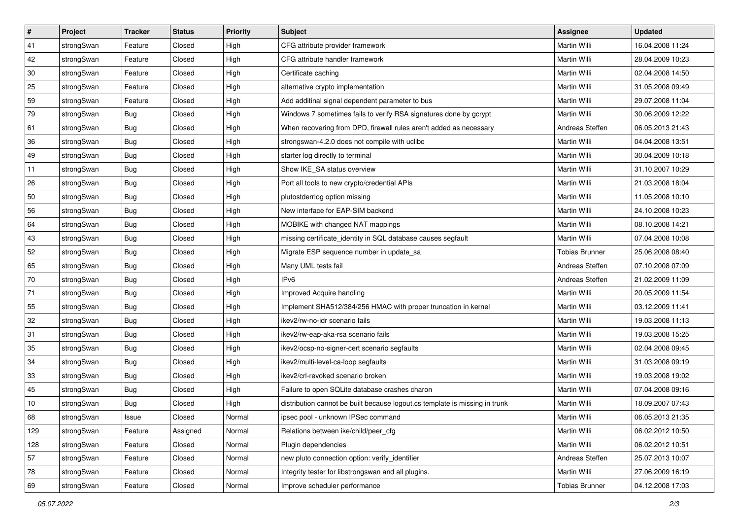| #   | Project    | <b>Tracker</b> | <b>Status</b> | <b>Priority</b> | Subject                                                                     | Assignee              | <b>Updated</b>   |
|-----|------------|----------------|---------------|-----------------|-----------------------------------------------------------------------------|-----------------------|------------------|
| 41  | strongSwan | Feature        | Closed        | High            | CFG attribute provider framework                                            | Martin Willi          | 16.04.2008 11:24 |
| 42  | strongSwan | Feature        | Closed        | High            | CFG attribute handler framework                                             | Martin Willi          | 28.04.2009 10:23 |
| 30  | strongSwan | Feature        | Closed        | High            | Certificate caching                                                         | Martin Willi          | 02.04.2008 14:50 |
| 25  | strongSwan | Feature        | Closed        | High            | alternative crypto implementation                                           | <b>Martin Willi</b>   | 31.05.2008 09:49 |
| 59  | strongSwan | Feature        | Closed        | High            | Add additinal signal dependent parameter to bus                             | Martin Willi          | 29.07.2008 11:04 |
| 79  | strongSwan | <b>Bug</b>     | Closed        | High            | Windows 7 sometimes fails to verify RSA signatures done by gcrypt           | Martin Willi          | 30.06.2009 12:22 |
| 61  | strongSwan | Bug            | Closed        | High            | When recovering from DPD, firewall rules aren't added as necessary          | Andreas Steffen       | 06.05.2013 21:43 |
| 36  | strongSwan | <b>Bug</b>     | Closed        | High            | strongswan-4.2.0 does not compile with uclibe                               | Martin Willi          | 04.04.2008 13:51 |
| 49  | strongSwan | <b>Bug</b>     | Closed        | High            | starter log directly to terminal                                            | Martin Willi          | 30.04.2009 10:18 |
| 11  | strongSwan | Bug            | Closed        | High            | Show IKE_SA status overview                                                 | Martin Willi          | 31.10.2007 10:29 |
| 26  | strongSwan | <b>Bug</b>     | Closed        | High            | Port all tools to new crypto/credential APIs                                | Martin Willi          | 21.03.2008 18:04 |
| 50  | strongSwan | Bug            | Closed        | High            | plutostderrlog option missing                                               | Martin Willi          | 11.05.2008 10:10 |
| 56  | strongSwan | Bug            | Closed        | High            | New interface for EAP-SIM backend                                           | Martin Willi          | 24.10.2008 10:23 |
| 64  | strongSwan | Bug            | Closed        | High            | MOBIKE with changed NAT mappings                                            | Martin Willi          | 08.10.2008 14:21 |
| 43  | strongSwan | <b>Bug</b>     | Closed        | High            | missing certificate_identity in SQL database causes segfault                | Martin Willi          | 07.04.2008 10:08 |
| 52  | strongSwan | <b>Bug</b>     | Closed        | High            | Migrate ESP sequence number in update_sa                                    | <b>Tobias Brunner</b> | 25.06.2008 08:40 |
| 65  | strongSwan | <b>Bug</b>     | Closed        | High            | Many UML tests fail                                                         | Andreas Steffen       | 07.10.2008 07:09 |
| 70  | strongSwan | Bug            | Closed        | High            | IP <sub>v6</sub>                                                            | Andreas Steffen       | 21.02.2009 11:09 |
| 71  | strongSwan | Bug            | Closed        | High            | Improved Acquire handling                                                   | Martin Willi          | 20.05.2009 11:54 |
| 55  | strongSwan | Bug            | Closed        | High            | Implement SHA512/384/256 HMAC with proper truncation in kernel              | Martin Willi          | 03.12.2009 11:41 |
| 32  | strongSwan | Bug            | Closed        | High            | ikev2/rw-no-idr scenario fails                                              | Martin Willi          | 19.03.2008 11:13 |
| 31  | strongSwan | Bug            | Closed        | High            | ikev2/rw-eap-aka-rsa scenario fails                                         | Martin Willi          | 19.03.2008 15:25 |
| 35  | strongSwan | Bug            | Closed        | High            | ikev2/ocsp-no-signer-cert scenario segfaults                                | Martin Willi          | 02.04.2008 09:45 |
| 34  | strongSwan | <b>Bug</b>     | Closed        | High            | ikev2/multi-level-ca-loop segfaults                                         | Martin Willi          | 31.03.2008 09:19 |
| 33  | strongSwan | Bug            | Closed        | High            | ikev2/crl-revoked scenario broken                                           | Martin Willi          | 19.03.2008 19:02 |
| 45  | strongSwan | Bug            | Closed        | High            | Failure to open SQLite database crashes charon                              | Martin Willi          | 07.04.2008 09:16 |
| 10  | strongSwan | Bug            | Closed        | High            | distribution cannot be built because logout.cs template is missing in trunk | Martin Willi          | 18.09.2007 07:43 |
| 68  | strongSwan | Issue          | Closed        | Normal          | ipsec pool - unknown IPSec command                                          | Martin Willi          | 06.05.2013 21:35 |
| 129 | strongSwan | Feature        | Assigned      | Normal          | Relations between ike/child/peer cfg                                        | Martin Willi          | 06.02.2012 10:50 |
| 128 | strongSwan | Feature        | Closed        | Normal          | Plugin dependencies                                                         | Martin Willi          | 06.02.2012 10:51 |
| 57  | strongSwan | Feature        | Closed        | Normal          | new pluto connection option: verify_identifier                              | Andreas Steffen       | 25.07.2013 10:07 |
| 78  | strongSwan | Feature        | Closed        | Normal          | Integrity tester for libstrongswan and all plugins.                         | Martin Willi          | 27.06.2009 16:19 |
| 69  | strongSwan | Feature        | Closed        | Normal          | Improve scheduler performance                                               | <b>Tobias Brunner</b> | 04.12.2008 17:03 |